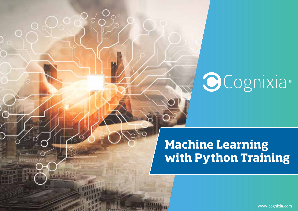# **OCognixia**

# **Machine Learning with Python Training**

www.cognixia.com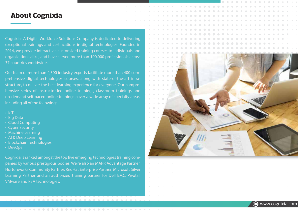#### **About Cognixia**

Cognixia- A Digital Workforce Solutions Company is dedicated to delivering exceptional trainings and certifications in digital technologies. Founded in 2014, we provide interactive, customized training courses to individuals and organizations alike, and have served more than 100,000 professionals across 37 countries worldwide.

Our team of more than 4,500 industry experts facilitate more than 400 comprehensive digital technologies courses, along with state-of-the-art infrastructure, to deliver the best learning experience for everyone. Our comprehensive series of instructor-led online trainings, classroom trainings and on-demand self-paced online trainings cover a wide array of specialty areas, including all of the following:

- IoT
- Big Data
- Cloud Computing
- Cyber Security
- Machine Learning
- AI & Deep Learning
- Blockchain Technologies
- DevOps

Cognixia is ranked amongst the top five emerging technologies training companies by various prestigious bodies. We're also an MAPR Advantage Partner, Hortonworks Community Partner, RedHat Enterprise Partner, Microsoft Silver Learning Partner and an authorized training partner for Dell EMC, Pivotal, VMware and RSA technologies.

. . . . . . . . . . . . . . . .

 $\bullet$   $\bullet$ 

 $\begin{array}{ccc} \bullet & \bullet & \bullet \end{array}$ 



**Www.cognixia.com**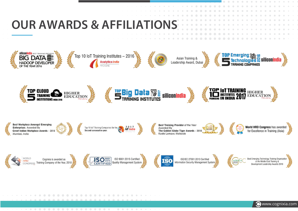

 $\bigcirc$  $\sqrt{2}$  $\sqrt{2}$  www.cognixia.com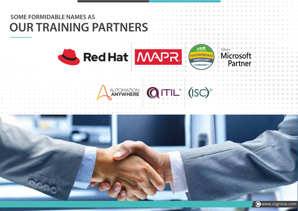

**Www.cognixia.com**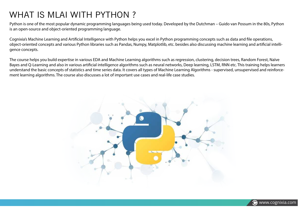### WHAT IS MLAI WITH PYTHON ?

Python is one of the most popular dynamic programming languages being used today. Developed by the Dutchman – Guido van Possum in the 80s, Python is an open-source and object-oriented programming language.

Cognixia's Machine Learning and Artificial Intelligence with Python helps you excel in Python programming concepts such as data and file operations, object-oriented concepts and various Python libraries such as Pandas, Numpy, Matplotlib, etc. besides also discussing machine learning and articial intelligence concepts.

The course helps you build expertise in various EDA and Machine Learning algorithms such as regression, clustering, decision trees, Random Forest, Naïve Bayes and O-Learning and also in various artificial intelligence algorithms such as neural networks. Deep learning, LSTM, RNN etc. This training helps learners understand the basic concepts of statistics and time series data. It covers all types of Machine Learning Algorithms - supervised, unsupervised and reinforcement learning algorithms. The course also discusses a lot of important use cases and real-life case studies.



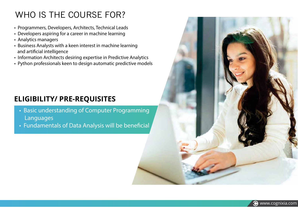### WHO IS THE COURSE FOR?

- Programmers, Developers, Architects, Technical Leads
- Developers aspiring for a career in machine learning
- Analytics managers
- Business Analysts with a keen interest in machine learning and artificial intelligence
- Information Architects desiring expertise in Predictive Analytics
- Python professionals keen to design automatic predictive models

### **ELIGIBILITY/ PRE-REQUISITES**

- Basic understanding of Computer Programming Languages
- Fundamentals of Data Analysis will be beneficial

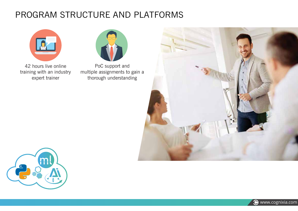### PROGRAM STRUCTURE AND PLATFORMS



42 hours live online training with an industry expert trainer



PoC support and multiple assignments to gain a thorough understanding





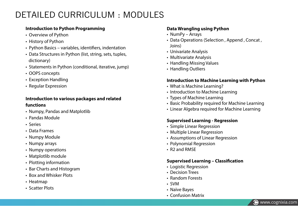### DETAILED CURRICULUM : MODULES

#### **Introduction to Python Programming**

- Overview of Python
- History of Python
- Python Basics variables, identifiers, indentation
- Data Structures in Python (list, string, sets, tuples, dictionary)
- Statements in Python (conditional, iterative, jump)
- OOPS concepts
- Exception Handling
- Regular Expression

#### **Introduction to various packages and related functions**

- Numpy, Pandas and Matplotlib
- Pandas Module
- Series
- Data Frames
- Numpy Module
- Numpy arrays
- Numpy operations
- Matplotlib module
- Plotting information
- Bar Charts and Histogram
- Box and Whisker Plots
- Heatmap
- Scatter Plots

#### **Data Wrangling using Python**

- NumPy Arrays
- Data Operations (Selection , Append , Concat , Joins)
- Univariate Analysis
- Multivariate Analysis
- Handling Missing Values
- Handling Outliers

#### **Introduction to Machine Learning with Python**

- What is Machine Learning?
- Introduction to Machine Learning
- Types of Machine Learning
- Basic Probability required for Machine Learning
- Linear Algebra required for Machine Learning

#### **Supervised Learning - Regression**

- Simple Linear Regression
- Multiple Linear Regression
- Assumptions of Linear Regression
- Polynomial Regression
- R2 and RMSE

#### **Supervised Learning - Classification**

- Logistic Regression
- Decision Trees
- Random Forests
- SVM
- Naïve Bayes
- Confusion Matrix

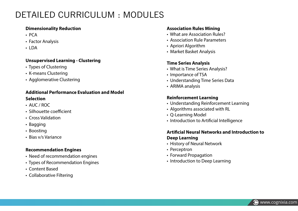### DETAILED CURRICULUM : MODULES

#### **Dimensionality Reduction**

- PCA
- Factor Analysis
- LDA

#### **Unsupervised Learning - Clustering**

- Types of Clustering
- K-means Clustering
- Agglomerative Clustering

#### **Additional Performance Evaluation and Model Selection**

- AUC / ROC
- Silhouette coefficient
- Cross Validation
- Bagging
- Boosting
- Bias v/s Variance

#### **Recommendation Engines**

- Need of recommendation engines
- Types of Recommendation Engines
- Content Based
- Collaborative Filtering

#### **Association Rules Mining**

- What are Association Rules?
- Association Rule Parameters
- Apriori Algorithm
- Market Basket Analysis

#### **Time Series Analysis**

- What is Time Series Analysis?
- Importance of TSA
- Understanding Time Series Data
- ARIMA analysis

#### **Reinforcement Learning**

- Understanding Reinforcement Learning
- Algorithms associated with RL
- Q-Learning Model
- Introduction to Artificial Intelligence

#### **Articial Neural Networks and Introduction to Deep Learning**

- History of Neural Network
- Perceptron
- Forward Propagation
- Introduction to Deep Learning

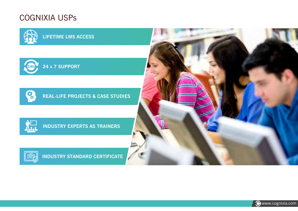### COGNIXIA USPs

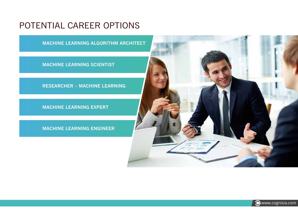### POTENTIAL CAREER OPTIONS

**MACHINE LEARNING ALGORITHM ARCHITECT**

**MACHINE LEARNING SCIENTIST**

**RESEARCHER – MACHINE LEARNING**

**MACHINE LEARNING EXPERT**

**MACHINE LEARNING ENGINEER**



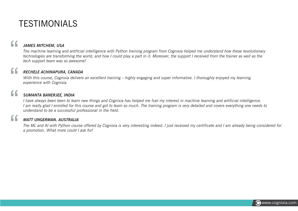### TESTIMONIALS

"

#### *JAMES MITCHEM, USA*

*The machine learning and artificial intelligence with Python training program from Cognixia helped me understand how these revolutionary technologies are transforming the world, and how I could play a part in it. Moreover, the support I received from the trainer as well as the tech support team was so awesome!*

# "<br>"<br>" *RECHELE ACHINAPURA, CANADA*

*With this course, Cognixia delivers an excellent training – highly engaging and super informative. I thoroughly enjoyed my learning experience with Cognixia.*

# "<br>"<br>" *SUMANTA BANERJEE, INDIA*

 *I have always been keen to learn new things and Cognixia has helped me fuel my interest in machine learning and artificial intelligence. I am really glad I enrolled for this course and got to learn so much. The training program is very detailed and covers everything one needs to understand to be a successful professional in the field.*

# "<br>"<br>" *MATT UNGERMAN, AUSTRALIA*

*The ML and AI with Python course offered by Cognixia is very interesting indeed. I just received my certificate and I am already being considered for a promotion. What more could I ask for!*